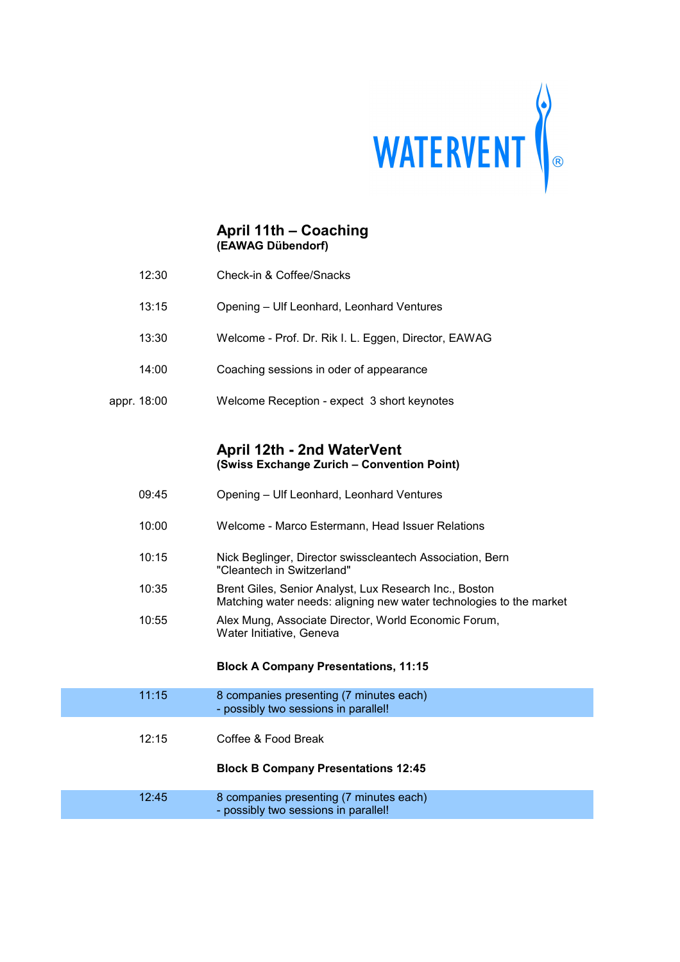

## **April 11th – Coaching (EAWAG Dübendorf)**

| 12:30       | Check-in & Coffee/Snacks                                                                                                      |
|-------------|-------------------------------------------------------------------------------------------------------------------------------|
| 13:15       | Opening - Ulf Leonhard, Leonhard Ventures                                                                                     |
| 13:30       | Welcome - Prof. Dr. Rik I. L. Eggen, Director, EAWAG                                                                          |
| 14:00       | Coaching sessions in oder of appearance                                                                                       |
| appr. 18:00 | Welcome Reception - expect 3 short keynotes                                                                                   |
|             | <b>April 12th - 2nd WaterVent</b><br>(Swiss Exchange Zurich - Convention Point)                                               |
| 09:45       | Opening - Ulf Leonhard, Leonhard Ventures                                                                                     |
| 10:00       | Welcome - Marco Estermann, Head Issuer Relations                                                                              |
| 10:15       | Nick Beglinger, Director swisscleantech Association, Bern<br>"Cleantech in Switzerland"                                       |
| 10:35       | Brent Giles, Senior Analyst, Lux Research Inc., Boston<br>Matching water needs: aligning new water technologies to the market |
| 10:55       | Alex Mung, Associate Director, World Economic Forum,<br>Water Initiative, Geneva                                              |
|             | <b>Block A Company Presentations, 11:15</b>                                                                                   |
| 11:15       | 8 companies presenting (7 minutes each)<br>- possibly two sessions in parallel!                                               |
| 12:15       | Coffee & Food Break                                                                                                           |
|             | <b>Block B Company Presentations 12:45</b>                                                                                    |
| 12:45       | 8 companies presenting (7 minutes each)                                                                                       |

- possibly two sessions in parallel!